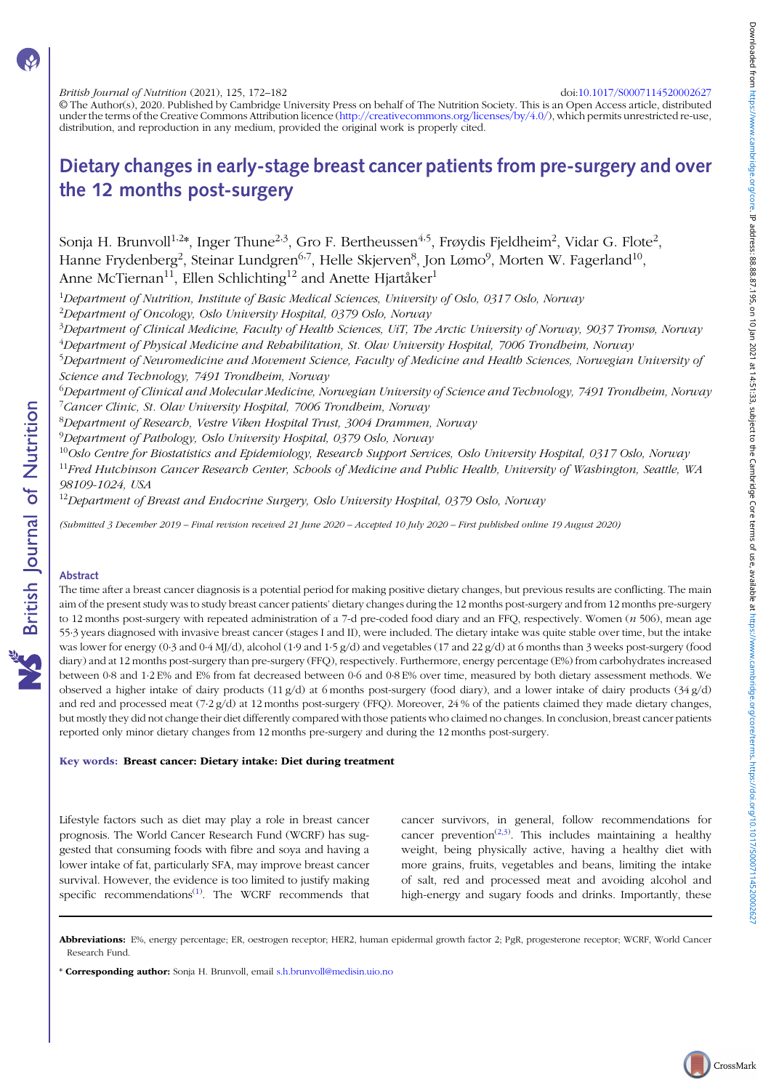British Journal of Nutrition (2021), 125, 172–182 doi:[10.1017/S0007114520002627](https://doi.org/10.1017/S0007114520002627)

© The Author(s), 2020. Published by Cambridge University Press on behalf of The Nutrition Society. This is an Open Access article, distributed under the terms of the Creative Commons Attribution licence [\(http://creativecommons.org/licenses/by/4.0/](http://creativecommons.org/licenses/by/4.0/)), which permits unrestricted re-use, distribution, and reproduction in any medium, provided the original work is properly cited.

# Dietary changes in early-stage breast cancer patients from pre-surgery and over the 12 months post-surgery

Sonja H. Brunvoll<sup>1,2</sup>\*, Inger Thune<sup>2,3</sup>, Gro F. Bertheussen<sup>4,5</sup>, Frøydis Fjeldheim<sup>2</sup>, Vidar G. Flote<sup>2</sup>, Hanne Frydenberg<sup>2</sup>, Steinar Lundgren<sup>6,7</sup>, Helle Skjerven<sup>8</sup>, Jon Lømo<sup>9</sup>, Morten W. Fagerland<sup>10</sup>, Anne McTiernan<sup>11</sup>, Ellen Schlichting<sup>12</sup> and Anette Hjartåker<sup>1</sup>

<sup>1</sup>Department of Nutrition, Institute of Basic Medical Sciences, University of Oslo, 0317 Oslo, Norway

<sup>2</sup>Department of Oncology, Oslo University Hospital, 0379 Oslo, Norway

<sup>3</sup>Department of Clinical Medicine, Faculty of Health Sciences, UiT, The Arctic University of Norway, 9037 Tromsø, Norway <sup>4</sup>Department of Physical Medicine and Rehabilitation, St. Olav University Hospital, 7006 Trondheim, Norway

<sup>5</sup>Department of Neuromedicine and Movement Science, Faculty of Medicine and Health Sciences, Norwegian University oj Science and Technology, 7491 Trondheim, Norway

 $^6$ Department of Clinical and Molecular Medicine, Norwegian University of Science and Technology, 7491 Trondheim, Norway <sup>7</sup>Cancer Clinic, St. Olav University Hospital, 7006 Trondheim, Norway

8 Department of Research, Vestre Viken Hospital Trust, 3004 Drammen, Norway

<sup>9</sup>Department of Pathology, Oslo University Hospital, 0379 Oslo, Norway

 $^{10}$ Oslo Centre for Biostatistics and Epidemiology, Research Support Services, Oslo University Hospital, 0317 Oslo, Norway

 $11$ Fred Hutchinson Cancer Research Center, Schools of Medicine and Public Health, University of Washington, Seattle, WA 98109-1024, USA

<sup>12</sup>Department of Breast and Endocrine Surgery, Oslo University Hospital, 0379 Oslo, Norway

(Submitted 3 December 2019 – Final revision received 21 June 2020 – Accepted 10 July 2020 – First published online 19 August 2020)

# Abstract

**NS** British Journal of Nutrition

The time after a breast cancer diagnosis is a potential period for making positive dietary changes, but previous results are conflicting. The main aim of the present study was to study breast cancer patients' dietary changes during the 12 months post-surgery and from 12 months pre-surgery to 12 months post-surgery with repeated administration of a 7-d pre-coded food diary and an FFQ, respectively. Women (n 506), mean age 55·3 years diagnosed with invasive breast cancer (stages I and II), were included. The dietary intake was quite stable over time, but the intake was lower for energy (0·3 and 0·4 MJ/d), alcohol (1·9 and 1·5 g/d) and vegetables (17 and 22 g/d) at 6 months than 3 weeks post-surgery (food diary) and at 12 months post-surgery than pre-surgery (FFQ), respectively. Furthermore, energy percentage (E%) from carbohydrates increased between 0·8 and 1·2 E% and E% from fat decreased between 0·6 and 0·8 E% over time, measured by both dietary assessment methods. We observed a higher intake of dairy products  $(11 g/d)$  at 6 months post-surgery (food diary), and a lower intake of dairy products  $(34 g/d)$ and red and processed meat (7·2 g/d) at 12 months post-surgery (FFQ). Moreover, 24 % of the patients claimed they made dietary changes, but mostly they did not change their diet differently compared with those patients who claimed no changes. In conclusion, breast cancer patients reported only minor dietary changes from 12 months pre-surgery and during the 12 months post-surgery.

#### Key words: Breast cancer: Dietary intake: Diet during treatment

Lifestyle factors such as diet may play a role in breast cancer prognosis. The World Cancer Research Fund (WCRF) has suggested that consuming foods with fibre and soya and having a lower intake of fat, particularly SFA, may improve breast cancer survival. However, the evidence is too limited to justify making specific recommendations $^{(1)}$  $^{(1)}$  $^{(1)}$ . The WCRF recommends that

cancer survivors, in general, follow recommendations for cancer prevention<sup> $(2,3)$  $(2,3)$  $(2,3)$  $(2,3)$ </sup>. This includes maintaining a healthy weight, being physically active, having a healthy diet with more grains, fruits, vegetables and beans, limiting the intake of salt, red and processed meat and avoiding alcohol and high-energy and sugary foods and drinks. Importantly, these

Abbreviations: E%, energy percentage; ER, oestrogen receptor; HER2, human epidermal growth factor 2; PgR, progesterone receptor; WCRF, World Cancer Research Fund.

<sup>\*</sup> Corresponding author: Sonja H. Brunvoll, email [s.h.brunvoll@medisin.uio.no](mailto:s.h.brunvoll@medisin.uio.no)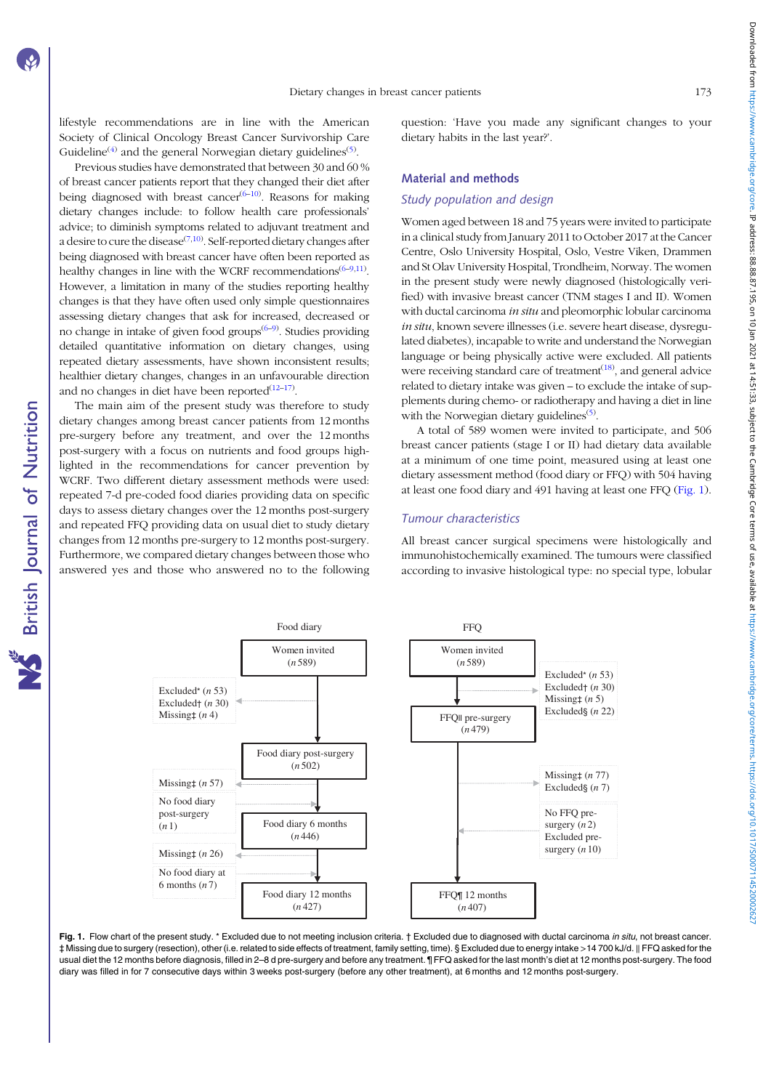<span id="page-1-0"></span>lifestyle recommendations are in line with the American Society of Clinical Oncology Breast Cancer Survivorship Care Guideline<sup>[\(4](#page-8-0))</sup> and the general Norwegian dietary guidelines<sup>([5\)](#page-9-0)</sup>.

Previous studies have demonstrated that between 30 and 60 % of breast cancer patients report that they changed their diet after being diagnosed with breast cancer $(6-10)$  $(6-10)$  $(6-10)$ . Reasons for making dietary changes include: to follow health care professionals' advice; to diminish symptoms related to adjuvant treatment and a desire to cure the disease $^{(7,10)}$  $^{(7,10)}$  $^{(7,10)}$  $^{(7,10)}$  $^{(7,10)}$ . Self-reported dietary changes after being diagnosed with breast cancer have often been reported as healthy changes in line with the WCRF recommendations<sup>[\(6](#page-9-0)-[9](#page-9-0),[11\)](#page-9-0)</sup>. However, a limitation in many of the studies reporting healthy changes is that they have often used only simple questionnaires assessing dietary changes that ask for increased, decreased or no change in intake of given food groups<sup>[\(6](#page-9-0)–[9](#page-9-0))</sup>. Studies providing detailed quantitative information on dietary changes, using repeated dietary assessments, have shown inconsistent results; healthier dietary changes, changes in an unfavourable direction and no changes in diet have been reported $(12-17)$  $(12-17)$  $(12-17)$  $(12-17)$ .

The main aim of the present study was therefore to study dietary changes among breast cancer patients from 12 months pre-surgery before any treatment, and over the 12 months post-surgery with a focus on nutrients and food groups highlighted in the recommendations for cancer prevention by WCRF. Two different dietary assessment methods were used: repeated 7-d pre-coded food diaries providing data on specific days to assess dietary changes over the 12 months post-surgery and repeated FFQ providing data on usual diet to study dietary changes from 12 months pre-surgery to 12 months post-surgery. Furthermore, we compared dietary changes between those who answered yes and those who answered no to the following question: 'Have you made any significant changes to your dietary habits in the last year?'.

## Material and methods

#### Study population and design

Women aged between 18 and 75 years were invited to participate in a clinical study from January 2011 to October 2017 at the Cancer Centre, Oslo University Hospital, Oslo, Vestre Viken, Drammen and St Olav University Hospital, Trondheim, Norway. The women in the present study were newly diagnosed (histologically verified) with invasive breast cancer (TNM stages I and II). Women with ductal carcinoma in situ and pleomorphic lobular carcinoma in situ, known severe illnesses (i.e. severe heart disease, dysregulated diabetes), incapable to write and understand the Norwegian language or being physically active were excluded. All patients were receiving standard care of treatment<sup>[\(18](#page-9-0))</sup>, and general advice related to dietary intake was given – to exclude the intake of supplements during chemo- or radiotherapy and having a diet in line with the Norwegian dietary guidelines<sup>[\(5](#page-9-0))</sup>.

A total of 589 women were invited to participate, and 506 breast cancer patients (stage I or II) had dietary data available at a minimum of one time point, measured using at least one dietary assessment method (food diary or FFQ) with 504 having at least one food diary and 491 having at least one FFQ (Fig. 1).

# Tumour characteristics

All breast cancer surgical specimens were histologically and immunohistochemically examined. The tumours were classified according to invasive histological type: no special type, lobular



Fig. 1. Flow chart of the present study. \* Excluded due to not meeting inclusion criteria. † Excluded due to diagnosed with ductal carcinoma in situ, not breast cancer. ‡ Missing due to surgery (resection), other (i.e. related to side effects of treatment, family setting, time). § Excluded due to energy intake >14 700 kJ/d. ‖ FFQ asked for the usual diet the 12 months before diagnosis, filled in 2–8 d pre-surgery and before any treatment. ¶ FFQ asked for the last month's diet at 12 months post-surgery. The food diary was filled in for 7 consecutive days within 3 weeks post-surgery (before any other treatment), at 6 months and 12 months post-surgery.

Downloaded from https://www.cambridge.org/core. IP address: 88.87.195, on 10] an 2021 at 14:51:33, subject to the Cambridge Core terms of use, available at https://www.cambridge.org/core/terms. https://www.cambridge.org/co Downloaded from https://www.cambrige.org/core. IP address: 88.887.195.1010 in 102.143. subject to the Cambridge Core terms of use, available at https://www.cambridge.org/core/rems.intps://00007114520002110.101311452000210.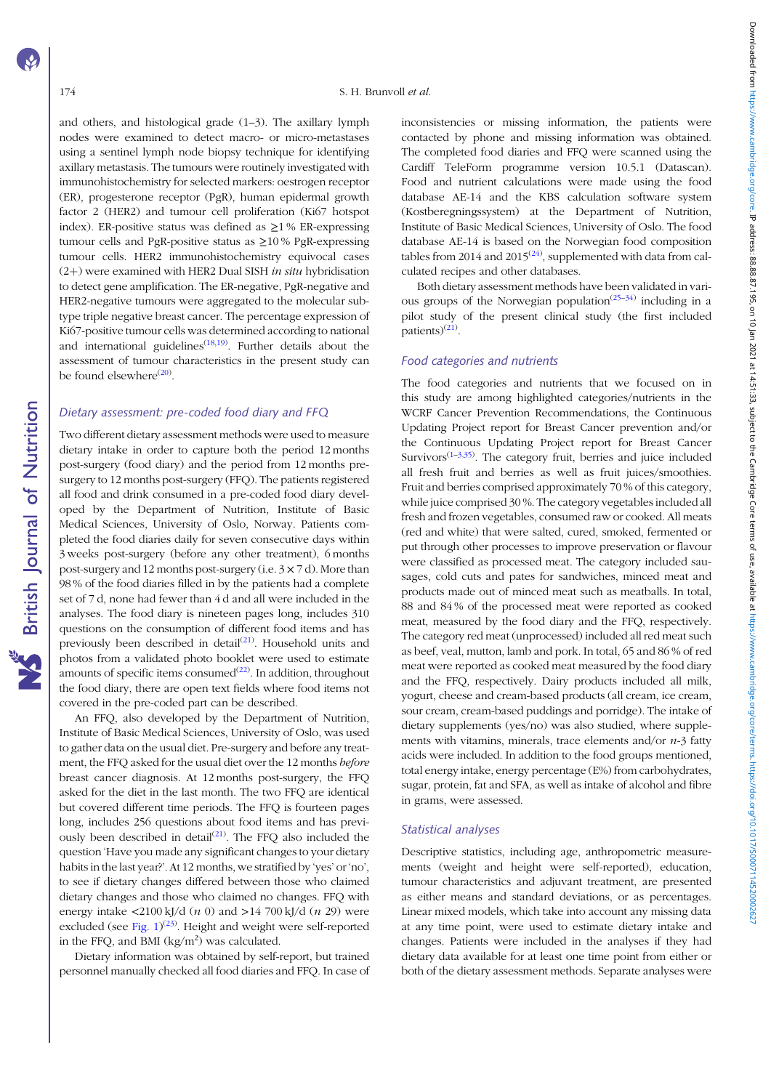**NS** British Journal of Nutrition

and others, and histological grade (1–3). The axillary lymph nodes were examined to detect macro- or micro-metastases using a sentinel lymph node biopsy technique for identifying axillary metastasis. The tumours were routinely investigated with immunohistochemistry for selected markers: oestrogen receptor (ER), progesterone receptor (PgR), human epidermal growth factor 2 (HER2) and tumour cell proliferation (Ki67 hotspot index). ER-positive status was defined as  $\geq$ 1 % ER-expressing tumour cells and PgR-positive status as  $\geq$ 10% PgR-expressing tumour cells. HER2 immunohistochemistry equivocal cases  $(2+)$  were examined with HER2 Dual SISH *in situ* hybridisation to detect gene amplification. The ER-negative, PgR-negative and HER2-negative tumours were aggregated to the molecular subtype triple negative breast cancer. The percentage expression of Ki67-positive tumour cells was determined according to national and international guidelines<sup> $(18,19)$  $(18,19)$ </sup>. Further details about the assessment of tumour characteristics in the present study can be found elsewhere<sup>([20](#page-9-0))</sup>.

#### Dietary assessment: pre-coded food diary and FFQ

Two different dietary assessment methods were used to measure dietary intake in order to capture both the period 12 months post-surgery (food diary) and the period from 12 months presurgery to 12 months post-surgery (FFQ). The patients registered all food and drink consumed in a pre-coded food diary developed by the Department of Nutrition, Institute of Basic Medical Sciences, University of Oslo, Norway. Patients completed the food diaries daily for seven consecutive days within 3 weeks post-surgery (before any other treatment), 6 months post-surgery and 12 months post-surgery (i.e.  $3 \times 7$  d). More than 98 % of the food diaries filled in by the patients had a complete set of 7 d, none had fewer than 4 d and all were included in the analyses. The food diary is nineteen pages long, includes 310 questions on the consumption of different food items and has previously been described in detail $(21)$  $(21)$  $(21)$ . Household units and photos from a validated photo booklet were used to estimate amounts of specific items consumed $(22)$  $(22)$ . In addition, throughout the food diary, there are open text fields where food items not covered in the pre-coded part can be described.

An FFQ, also developed by the Department of Nutrition, Institute of Basic Medical Sciences, University of Oslo, was used to gather data on the usual diet. Pre-surgery and before any treatment, the FFQ asked for the usual diet over the 12 months before breast cancer diagnosis. At 12 months post-surgery, the FFQ asked for the diet in the last month. The two FFQ are identical but covered different time periods. The FFQ is fourteen pages long, includes 256 questions about food items and has previously been described in detail $(21)$  $(21)$ . The FFQ also included the question 'Have you made any significant changes to your dietary habits in the last year?'. At 12 months, we stratified by 'yes' or 'no', to see if dietary changes differed between those who claimed dietary changes and those who claimed no changes. FFQ with energy intake  $\langle 2100 \text{ kJ/d} (n 0)$  and  $>14$  700 kJ/d  $(n 29)$  were excluded (see Fig.  $1^{(23)}$  $1^{(23)}$  $1^{(23)}$ . Height and weight were self-reported in the FFQ, and BMI  $\frac{\text{kg}}{m^2}$  was calculated.

Dietary information was obtained by self-report, but trained personnel manually checked all food diaries and FFQ. In case of inconsistencies or missing information, the patients were contacted by phone and missing information was obtained. The completed food diaries and FFQ were scanned using the Cardiff TeleForm programme version 10.5.1 (Datascan). Food and nutrient calculations were made using the food database AE-14 and the KBS calculation software system (Kostberegningssystem) at the Department of Nutrition, Institute of Basic Medical Sciences, University of Oslo. The food database AE-14 is based on the Norwegian food composition tables from 2014 and 2015 $(24)$ , supplemented with data from calculated recipes and other databases.

Both dietary assessment methods have been validated in various groups of the Norwegian population<sup> $(25-34)$  $(25-34)$  $(25-34)$  $(25-34)$ </sup> including in a pilot study of the present clinical study (the first included patients)<sup>[\(21](#page-9-0))</sup>.

## Food categories and nutrients

The food categories and nutrients that we focused on in this study are among highlighted categories/nutrients in the WCRF Cancer Prevention Recommendations, the Continuous Updating Project report for Breast Cancer prevention and/or the Continuous Updating Project report for Breast Cancer Survivors $(1-3,35)$  $(1-3,35)$  $(1-3,35)$  $(1-3,35)$ . The category fruit, berries and juice included all fresh fruit and berries as well as fruit juices/smoothies. Fruit and berries comprised approximately 70 % of this category, while juice comprised 30 %. The category vegetables included all fresh and frozen vegetables, consumed raw or cooked. All meats (red and white) that were salted, cured, smoked, fermented or put through other processes to improve preservation or flavour were classified as processed meat. The category included sausages, cold cuts and pates for sandwiches, minced meat and products made out of minced meat such as meatballs. In total, 88 and 84 % of the processed meat were reported as cooked meat, measured by the food diary and the FFQ, respectively. The category red meat (unprocessed) included all red meat such as beef, veal, mutton, lamb and pork. In total, 65 and 86 % of red meat were reported as cooked meat measured by the food diary and the FFQ, respectively. Dairy products included all milk, yogurt, cheese and cream-based products (all cream, ice cream, sour cream, cream-based puddings and porridge). The intake of dietary supplements (yes/no) was also studied, where supplements with vitamins, minerals, trace elements and/or  $n-3$  fatty acids were included. In addition to the food groups mentioned, total energy intake, energy percentage (E%) from carbohydrates, sugar, protein, fat and SFA, as well as intake of alcohol and fibre in grams, were assessed.

## Statistical analyses

Descriptive statistics, including age, anthropometric measurements (weight and height were self-reported), education, tumour characteristics and adjuvant treatment, are presented as either means and standard deviations, or as percentages. Linear mixed models, which take into account any missing data at any time point, were used to estimate dietary intake and changes. Patients were included in the analyses if they had dietary data available for at least one time point from either or both of the dietary assessment methods. Separate analyses were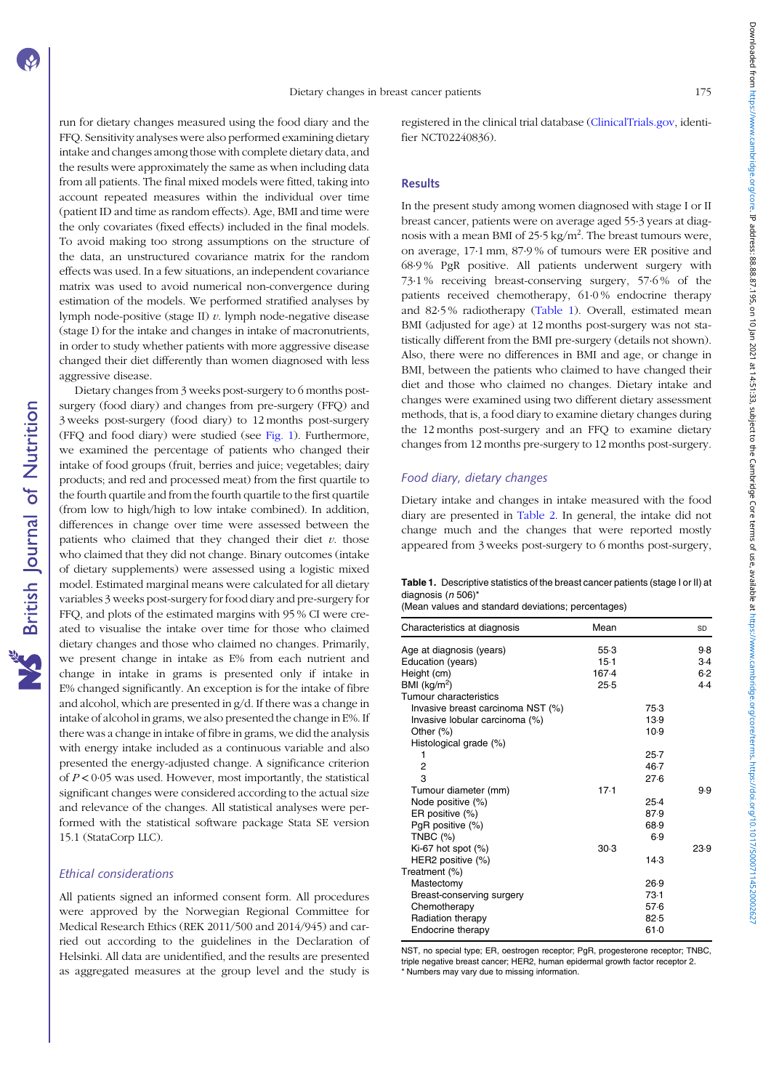Downloaded from https://www.cambridge.org/core. IP address: 88.87.195, on 10] an 2021 at 14:51:33, subject to the Cambridge Core terms of use, available at https://www.cambridge.org/core/terms. https://www.cambridge.org/co Downloaded from https://www.cambrige.org/core. IP address: 88.887.195.1010 in 102.143. subject to the Cambridge Core terms of use, available at https://www.cambridge.org/core/rems.intps://00007114520002110.101311452000210.

run for dietary changes measured using the food diary and the FFQ. Sensitivity analyses were also performed examining dietary intake and changes among those with complete dietary data, and the results were approximately the same as when including data from all patients. The final mixed models were fitted, taking into account repeated measures within the individual over time (patient ID and time as random effects). Age, BMI and time were the only covariates (fixed effects) included in the final models. To avoid making too strong assumptions on the structure of the data, an unstructured covariance matrix for the random effects was used. In a few situations, an independent covariance matrix was used to avoid numerical non-convergence during estimation of the models. We performed stratified analyses by lymph node-positive (stage II)  $v$ . lymph node-negative disease (stage I) for the intake and changes in intake of macronutrients, in order to study whether patients with more aggressive disease changed their diet differently than women diagnosed with less aggressive disease.

Dietary changes from 3 weeks post-surgery to 6 months postsurgery (food diary) and changes from pre-surgery (FFQ) and 3 weeks post-surgery (food diary) to 12 months post-surgery (FFQ and food diary) were studied (see [Fig. 1\)](#page-1-0). Furthermore, we examined the percentage of patients who changed their intake of food groups (fruit, berries and juice; vegetables; dairy products; and red and processed meat) from the first quartile to the fourth quartile and from the fourth quartile to the first quartile (from low to high/high to low intake combined). In addition, differences in change over time were assessed between the patients who claimed that they changed their diet  $v$ . those who claimed that they did not change. Binary outcomes (intake of dietary supplements) were assessed using a logistic mixed model. Estimated marginal means were calculated for all dietary variables 3 weeks post-surgery for food diary and pre-surgery for FFQ, and plots of the estimated margins with 95 % CI were created to visualise the intake over time for those who claimed dietary changes and those who claimed no changes. Primarily, we present change in intake as E% from each nutrient and change in intake in grams is presented only if intake in E% changed significantly. An exception is for the intake of fibre and alcohol, which are presented in g/d. If there was a change in intake of alcohol in grams, we also presented the change in E%. If there was a change in intake of fibre in grams, we did the analysis with energy intake included as a continuous variable and also presented the energy-adjusted change. A significance criterion of  $P < 0.05$  was used. However, most importantly, the statistical significant changes were considered according to the actual size and relevance of the changes. All statistical analyses were performed with the statistical software package Stata SE version 15.1 (StataCorp LLC).

## Ethical considerations

All patients signed an informed consent form. All procedures were approved by the Norwegian Regional Committee for Medical Research Ethics (REK 2011/500 and 2014/945) and carried out according to the guidelines in the Declaration of Helsinki. All data are unidentified, and the results are presented as aggregated measures at the group level and the study is

registered in the clinical trial database [\(ClinicalTrials.gov](https://ClinicalTrials.gov), identifier NCT02240836).

#### Results

In the present study among women diagnosed with stage I or II breast cancer, patients were on average aged 55·3 years at diagnosis with a mean BMI of 25 $\cdot$ 5 kg/m<sup>2</sup>. The breast tumours were, on average, 17·1 mm, 87·9 % of tumours were ER positive and 68·9 % PgR positive. All patients underwent surgery with 73·1 % receiving breast-conserving surgery, 57·6 % of the patients received chemotherapy, 61·0 % endocrine therapy and 82·5 % radiotherapy (Table 1). Overall, estimated mean BMI (adjusted for age) at 12 months post-surgery was not statistically different from the BMI pre-surgery (details not shown). Also, there were no differences in BMI and age, or change in BMI, between the patients who claimed to have changed their diet and those who claimed no changes. Dietary intake and changes were examined using two different dietary assessment methods, that is, a food diary to examine dietary changes during the 12 months post-surgery and an FFQ to examine dietary changes from 12 months pre-surgery to 12 months post-surgery.

## Food diary, dietary changes

Dietary intake and changes in intake measured with the food diary are presented in [Table 2.](#page-4-0) In general, the intake did not change much and the changes that were reported mostly appeared from 3 weeks post-surgery to 6 months post-surgery,

Table 1. Descriptive statistics of the breast cancer patients (stage I or II) at diagnosis (n 506)\*

|  |  |  |  |  |  | (Mean values and standard deviations; percentages) |  |
|--|--|--|--|--|--|----------------------------------------------------|--|
|--|--|--|--|--|--|----------------------------------------------------|--|

| Characteristics at diagnosis      | Mean   |          | SD    |
|-----------------------------------|--------|----------|-------|
| Age at diagnosis (years)          | $55-3$ |          | 9.8   |
| Education (years)                 | $15-1$ |          | $3-4$ |
| Height (cm)                       | 167.4  |          | 6.2   |
| BMI ( $kg/m2$ )                   | 25.5   |          | 4.4   |
| <b>Tumour characteristics</b>     |        |          |       |
| Invasive breast carcinoma NST (%) |        | 75.3     |       |
| Invasive lobular carcinoma (%)    |        | 13.9     |       |
| Other $(\%)$                      |        | 10.9     |       |
| Histological grade (%)            |        |          |       |
| 1                                 |        | $25-7$   |       |
| 2                                 |        | $46 - 7$ |       |
| 3                                 |        | 27.6     |       |
| Tumour diameter (mm)              | $17-1$ |          | 9.9   |
| Node positive (%)                 |        | $25-4$   |       |
| ER positive (%)                   |        | 87.9     |       |
| PgR positive (%)                  |        | 68.9     |       |
| TNBC $(%)$                        |        | 6.9      |       |
| Ki-67 hot spot $(\%)$             | 30.3   |          | 23.9  |
| HER2 positive (%)                 |        | 14.3     |       |
| Treatment (%)                     |        |          |       |
| Mastectomy                        |        | 26.9     |       |
| Breast-conserving surgery         |        | 73.1     |       |
| Chemotherapy                      |        | 57.6     |       |
| Radiation therapy                 |        | 82.5     |       |
| Endocrine therapy                 |        | 61.0     |       |

NST, no special type; ER, oestrogen receptor; PgR, progesterone receptor; TNBC, triple negative breast cancer; HER2, human epidermal growth factor receptor 2. \* Numbers may vary due to missing information.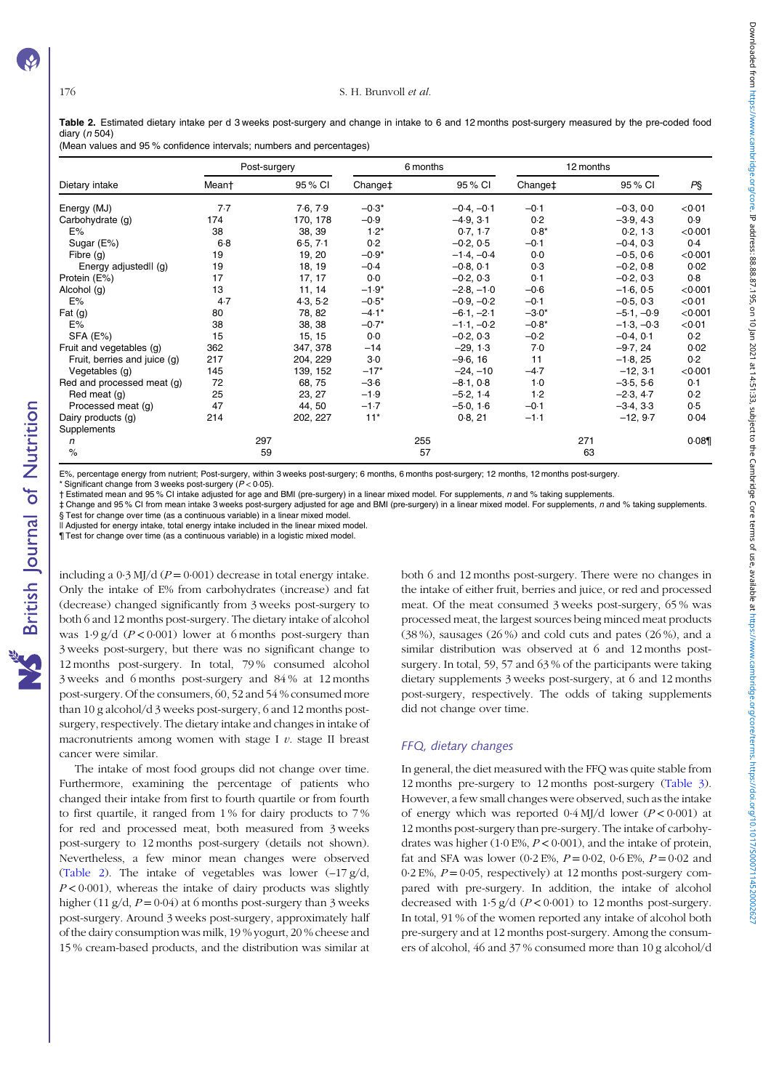#### <span id="page-4-0"></span>176 S. H. Brunvoll et al.

Table 2. Estimated dietary intake per d 3 weeks post-surgery and change in intake to 6 and 12 months post-surgery measured by the pre-coded food diary (n 504)

(Mean values and 95 % confidence intervals; numbers and percentages)

|                              | Post-surgery |          | 6 months            |     | 12 months    |                     |     |              |         |
|------------------------------|--------------|----------|---------------------|-----|--------------|---------------------|-----|--------------|---------|
| Dietary intake               | Mean†        | 95 % CI  | Change <sup>+</sup> |     | 95 % CI      | Change <sup>+</sup> |     | 95 % CI      | PŞ      |
| Energy (MJ)                  | 7.7          | 7.6, 7.9 | $-0.3*$             |     | $-0.4, -0.1$ | $-0.1$              |     | $-0.3, 0.0$  | < 0.01  |
| Carbohydrate (g)             | 174          | 170, 178 | $-0.9$              |     | $-4.9, 3.1$  | 0.2                 |     | $-3.9, 4.3$  | 0.9     |
| E%                           | 38           | 38, 39   | $1.2*$              |     | 0.7, 1.7     | $0.8*$              |     | 0.2, 1.3     | < 0.001 |
| Sugar (E%)                   | $6-8$        | 6.5, 7.1 | 0.2                 |     | $-0.2, 0.5$  | $-0.1$              |     | $-0.4, 0.3$  | 0.4     |
| Fibre $(q)$                  | 19           | 19, 20   | $-0.9*$             |     | $-1.4, -0.4$ | 0.0                 |     | $-0.5, 0.6$  | < 0.001 |
| Energy adjustedll (g)        | 19           | 18, 19   | $-0.4$              |     | $-0.8, 0.1$  | 0.3                 |     | $-0.2, 0.8$  | 0.02    |
| Protein (E%)                 | 17           | 17, 17   | 0.0                 |     | $-0.2, 0.3$  | 0.1                 |     | $-0.2, 0.3$  | 0.8     |
| Alcohol (g)                  | 13           | 11, 14   | $-1.9*$             |     | $-2.8, -1.0$ | $-0.6$              |     | $-1.6, 0.5$  | < 0.001 |
| E%                           | 4.7          | 4.3, 5.2 | $-0.5*$             |     | $-0.9, -0.2$ | $-0.1$              |     | $-0.5, 0.3$  | < 0.01  |
| Fat $(q)$                    | 80           | 78, 82   | $-4.1*$             |     | $-6.1, -2.1$ | $-3.0*$             |     | $-5.1, -0.9$ | < 0.001 |
| E%                           | 38           | 38, 38   | $-0.7*$             |     | $-1.1, -0.2$ | $-0.8*$             |     | $-1.3, -0.3$ | < 0.01  |
| SFA (E%)                     | 15           | 15, 15   | 0.0                 |     | $-0.2, 0.3$  | $-0.2$              |     | $-0.4, 0.1$  | 0.2     |
| Fruit and vegetables (g)     | 362          | 347, 378 | $-14$               |     | $-29, 1.3$   | 7.0                 |     | $-9.7, 24$   | 0.02    |
| Fruit, berries and juice (g) | 217          | 204, 229 | $3-0$               |     | $-9.6, 16$   | 11                  |     | $-1.8, 25$   | 0.2     |
| Vegetables (g)               | 145          | 139, 152 | $-17*$              |     | $-24, -10$   | $-4.7$              |     | $-12, 3.1$   | < 0.001 |
| Red and processed meat (q)   | 72           | 68, 75   | $-3.6$              |     | $-8.1, 0.8$  | $1-0$               |     | $-3.5, 5.6$  | 0.1     |
| Red meat (g)                 | 25           | 23, 27   | $-1.9$              |     | $-5.2, 1.4$  | 1.2                 |     | $-2.3, 4.7$  | 0.2     |
| Processed meat (g)           | 47           | 44, 50   | $-1.7$              |     | $-5.0, 1.6$  | $-0.1$              |     | $-3.4, 3.3$  | 0.5     |
| Dairy products (g)           | 214          | 202, 227 | $11*$               |     | 0.8, 21      | $-1.1$              |     | $-12, 9.7$   | 0.04    |
| Supplements                  |              |          |                     |     |              |                     |     |              |         |
| n                            | 297          |          |                     | 255 |              |                     | 271 |              | 0.089   |
| $\%$                         | 59           |          |                     | 57  |              |                     | 63  |              |         |

E%, percentage energy from nutrient; Post-surgery, within 3 weeks post-surgery; 6 months, 6 months post-surgery; 12 months, 12 months post-surgery. Significant change from 3 weeks post-surgery  $(P < 0.05)$ .

† Estimated mean and 95 % CI intake adjusted for age and BMI (pre-surgery) in a linear mixed model. For supplements, n and % taking supplements.

‡ Change and 95 % CI from mean intake 3 weeks post-surgery adjusted for age and BMI (pre-surgery) in a linear mixed model. For supplements, n and % taking supplements. § Test for change over time (as a continuous variable) in a linear mixed model.

Il Adjusted for energy intake, total energy intake included in the linear mixed model.

¶ Test for change over time (as a continuous variable) in a logistic mixed model.

including a  $0.3$  MJ/d ( $P = 0.001$ ) decrease in total energy intake. Only the intake of E% from carbohydrates (increase) and fat (decrease) changed significantly from 3 weeks post-surgery to both 6 and 12 months post-surgery. The dietary intake of alcohol was  $1.9 \text{ g/d}$  ( $P < 0.001$ ) lower at 6 months post-surgery than 3 weeks post-surgery, but there was no significant change to 12 months post-surgery. In total, 79 % consumed alcohol 3 weeks and 6 months post-surgery and 84 % at 12 months post-surgery. Of the consumers, 60, 52 and 54 % consumed more than 10 g alcohol/d 3 weeks post-surgery, 6 and 12 months postsurgery, respectively. The dietary intake and changes in intake of macronutrients among women with stage I  $v$ . stage II breast cancer were similar.

The intake of most food groups did not change over time. Furthermore, examining the percentage of patients who changed their intake from first to fourth quartile or from fourth to first quartile, it ranged from 1 % for dairy products to 7 % for red and processed meat, both measured from 3 weeks post-surgery to 12 months post-surgery (details not shown). Nevertheless, a few minor mean changes were observed (Table 2). The intake of vegetables was lower  $(-17 g/d,$  $P < 0.001$ ), whereas the intake of dairy products was slightly higher (11 g/d,  $P = 0.04$ ) at 6 months post-surgery than 3 weeks post-surgery. Around 3 weeks post-surgery, approximately half of the dairy consumption was milk, 19 % yogurt, 20 % cheese and 15 % cream-based products, and the distribution was similar at both 6 and 12 months post-surgery. There were no changes in the intake of either fruit, berries and juice, or red and processed meat. Of the meat consumed 3 weeks post-surgery, 65 % was processed meat, the largest sources being minced meat products (38 %), sausages (26 %) and cold cuts and pates (26 %), and a similar distribution was observed at 6 and 12 months postsurgery. In total, 59, 57 and 63 % of the participants were taking dietary supplements 3 weeks post-surgery, at 6 and 12 months post-surgery, respectively. The odds of taking supplements did not change over time.

# FFQ, dietary changes

In general, the diet measured with the FFQ was quite stable from 12 months pre-surgery to 12 months post-surgery ([Table 3](#page-5-0)). However, a few small changes were observed, such as the intake of energy which was reported  $0.4$  MJ/d lower ( $P < 0.001$ ) at 12 months post-surgery than pre-surgery. The intake of carbohydrates was higher (1.0 E%,  $P < 0.001$ ), and the intake of protein, fat and SFA was lower (0.2 E%,  $P = 0.02$ , 0.6 E%,  $P = 0.02$  and 0.2 E%,  $P = 0.05$ , respectively) at 12 months post-surgery compared with pre-surgery. In addition, the intake of alcohol decreased with  $1.5 \text{ g/d}$  ( $P < 0.001$ ) to 12 months post-surgery. In total, 91 % of the women reported any intake of alcohol both pre-surgery and at 12 months post-surgery. Among the consumers of alcohol, 46 and 37 % consumed more than 10 g alcohol/d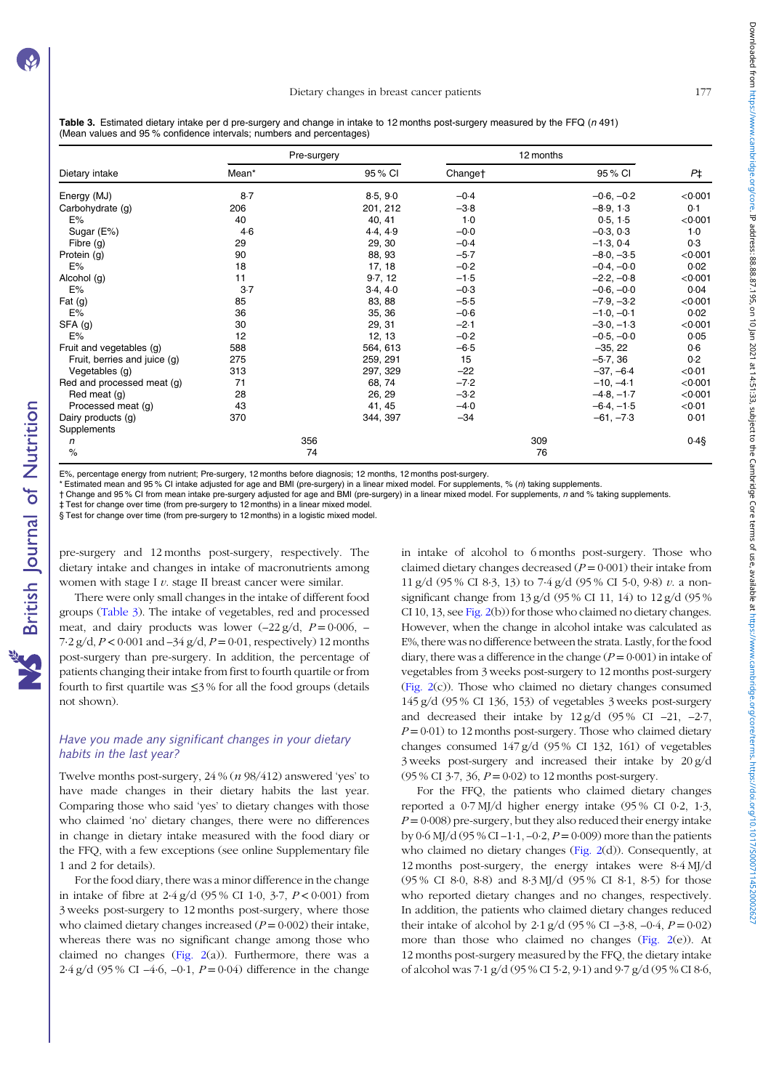<span id="page-5-0"></span>

| Table 3. Estimated dietary intake per d pre-surgery and change in intake to 12 months post-surgery measured by the FFQ (n 491) |  |
|--------------------------------------------------------------------------------------------------------------------------------|--|
| (Mean values and 95 % confidence intervals; numbers and percentages)                                                           |  |

|                              |       | Pre-surgery | 12 months |              |           |
|------------------------------|-------|-------------|-----------|--------------|-----------|
| Dietary intake               | Mean* | 95 % CI     | Changet   | 95 % CI      | P‡        |
| Energy (MJ)                  | 8.7   | 8.5, 9.0    | $-0.4$    | $-0.6, -0.2$ | < 0.001   |
| Carbohydrate (g)             | 206   | 201, 212    | $-3.8$    | $-8.9, 1.3$  | 0.1       |
| E%                           | 40    | 40, 41      | $1-0$     | 0.5, 1.5     | $<$ 0.001 |
| Sugar (E%)                   | $4-6$ | 4.4, 4.9    | $-0.0$    | $-0.3, 0.3$  | $1-0$     |
| Fibre $(q)$                  | 29    | 29, 30      | $-0.4$    | $-1.3, 0.4$  | 0.3       |
| Protein (g)                  | 90    | 88, 93      | $-5.7$    | $-8.0, -3.5$ | < 0.001   |
| E%                           | 18    | 17, 18      | $-0.2$    | $-0.4, -0.0$ | 0.02      |
| Alcohol (g)                  | 11    | 9.7, 12     | $-1.5$    | $-2.2, -0.8$ | < 0.001   |
| E%                           | $3-7$ | 3.4, 4.0    | $-0.3$    | $-0.6, -0.0$ | 0.04      |
| Fat $(g)$                    | 85    | 83, 88      | $-5.5$    | $-7.9, -3.2$ | < 0.001   |
| E%                           | 36    | 35, 36      | $-0.6$    | $-1.0, -0.1$ | 0.02      |
| SFA (g)                      | 30    | 29, 31      | $-2.1$    | $-3.0, -1.3$ | < 0.001   |
| E%                           | 12    | 12, 13      | $-0.2$    | $-0.5, -0.0$ | 0.05      |
| Fruit and vegetables (g)     | 588   | 564, 613    | $-6.5$    | $-35, 22$    | 0.6       |
| Fruit, berries and juice (g) | 275   | 259, 291    | 15        | $-5.7, 36$   | 0.2       |
| Vegetables (g)               | 313   | 297, 329    | $-22$     | $-37, -6.4$  | < 0.01    |
| Red and processed meat (g)   | 71    | 68, 74      | $-7.2$    | $-10, -4.1$  | < 0.001   |
| Red meat (g)                 | 28    | 26, 29      | $-3.2$    | $-4.8, -1.7$ | < 0.001   |
| Processed meat (g)           | 43    | 41, 45      | $-4.0$    | $-6.4, -1.5$ | < 0.01    |
| Dairy products (g)           | 370   | 344, 397    | $-34$     | $-61, -73$   | 0.01      |
| Supplements                  |       |             |           |              |           |
| n                            |       | 356         |           | 309          | $0.4$ §   |
| $\%$                         |       | 74          |           | 76           |           |

E%, percentage energy from nutrient; Pre-surgery, 12 months before diagnosis; 12 months, 12 months post-surgery.

Estimated mean and 95 % CI intake adjusted for age and BMI (pre-surgery) in a linear mixed model. For supplements, % (n) taking supplements

† Change and 95 % CI from mean intake pre-surgery adjusted for age and BMI (pre-surgery) in a linear mixed model. For supplements, n and % taking supplements.

‡ Test for change over time (from pre-surgery to 12 months) in a linear mixed model. § Test for change over time (from pre-surgery to 12 months) in a logistic mixed model.

pre-surgery and 12 months post-surgery, respectively. The dietary intake and changes in intake of macronutrients among women with stage I  $v$ . stage II breast cancer were similar.

There were only small changes in the intake of different food groups (Table 3). The intake of vegetables, red and processed meat, and dairy products was lower  $(-22 \text{ g/d}, P = 0.006, -1.006)$ 7·2 g/d,  $P < 0.001$  and  $-34$  g/d,  $P = 0.01$ , respectively) 12 months post-surgery than pre-surgery. In addition, the percentage of patients changing their intake from first to fourth quartile or from fourth to first quartile was  $\leq$ 3% for all the food groups (details not shown).

## Have you made any significant changes in your dietary habits in the last year?

Twelve months post-surgery, 24 % (n 98/412) answered 'yes' to have made changes in their dietary habits the last year. Comparing those who said 'yes' to dietary changes with those who claimed 'no' dietary changes, there were no differences in change in dietary intake measured with the food diary or the FFQ, with a few exceptions (see online Supplementary file 1 and 2 for details).

For the food diary, there was a minor difference in the change in intake of fibre at  $2.4$  g/d (95% CI 1.0, 3.7,  $P < 0.001$ ) from 3 weeks post-surgery to 12 months post-surgery, where those who claimed dietary changes increased  $(P = 0.002)$  their intake, whereas there was no significant change among those who claimed no changes ([Fig. 2](#page-6-0)(a)). Furthermore, there was a 2.4 g/d (95 % CI –4.6, –0.1,  $P = 0.04$ ) difference in the change in intake of alcohol to 6 months post-surgery. Those who claimed dietary changes decreased  $(P = 0.001)$  their intake from 11 g/d (95 % CI 8·3, 13) to 7·4 g/d (95 % CI 5·0, 9·8) v. a nonsignificant change from 13 g/d (95 % CI 11, 14) to 12 g/d (95 % CI 10, 13, see [Fig. 2](#page-6-0)(b)) for those who claimed no dietary changes. However, when the change in alcohol intake was calculated as E%, there was no difference between the strata. Lastly, for the food diary, there was a difference in the change  $(P = 0.001)$  in intake of vegetables from 3 weeks post-surgery to 12 months post-surgery [\(Fig. 2\(](#page-6-0)c)). Those who claimed no dietary changes consumed 145 g/d (95 % CI 136, 153) of vegetables 3 weeks post-surgery and decreased their intake by  $12 \frac{g}{d}$  (95% CI –21, –2.7,  $P = 0.01$ ) to 12 months post-surgery. Those who claimed dietary changes consumed 147 g/d (95 % CI 132, 161) of vegetables 3 weeks post-surgery and increased their intake by 20 g/d (95 % CI 3.7, 36,  $P = 0.02$ ) to 12 months post-surgery.

For the FFQ, the patients who claimed dietary changes reported a 0·7 MJ/d higher energy intake (95 % CI 0·2, 1·3,  $P = 0.008$ ) pre-surgery, but they also reduced their energy intake by 0.6 MJ/d (95 % CI –1.1, –0.2,  $P = 0.009$ ) more than the patients who claimed no dietary changes [\(Fig. 2\(](#page-6-0)d)). Consequently, at 12 months post-surgery, the energy intakes were 8·4 MJ/d (95 % CI 8·0, 8·8) and 8·3 MJ/d (95 % CI 8·1, 8·5) for those who reported dietary changes and no changes, respectively. In addition, the patients who claimed dietary changes reduced their intake of alcohol by 2.1 g/d (95 % CI –3.8, –0.4,  $P = 0.02$ ) more than those who claimed no changes ([Fig. 2\(](#page-6-0)e)). At 12 months post-surgery measured by the FFQ, the dietary intake of alcohol was 7·1 g/d (95 % CI 5·2, 9·1) and 9·7 g/d (95 % CI 8·6,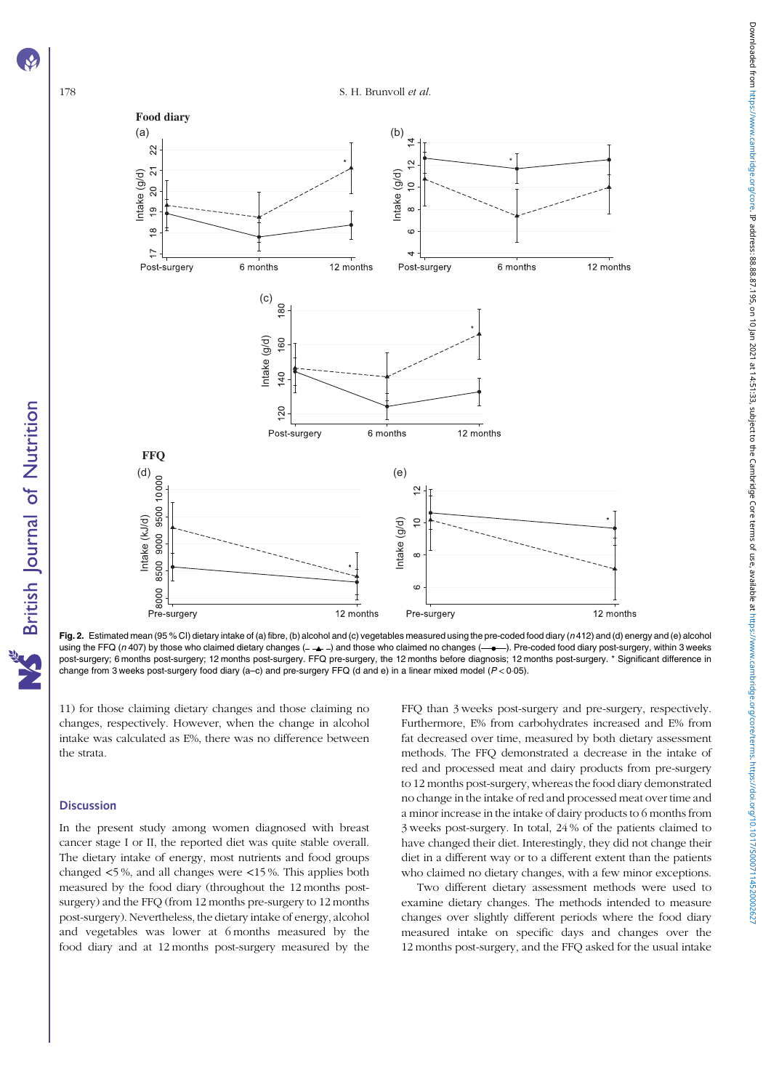<span id="page-6-0"></span>

Fig. 2. Estimated mean (95 % CI) dietary intake of (a) fibre, (b) alcohol and (c) vegetables measured using the pre-coded food diary (n 412) and (d) energy and (e) alcohol using the FFQ (n 407) by those who claimed dietary changes ( $-\rightarrow$ ) and those who claimed no changes ( $-\rightarrow$ ). Pre-coded food diary post-surgery, within 3 weeks post-surgery; 6 months post-surgery; 12 months post-surgery. FFQ pre-surgery, the 12 months before diagnosis; 12 months post-surgery. \* Significant difference in change from 3 weeks post-surgery food diary (a-c) and pre-surgery FFQ (d and e) in a linear mixed model  $(P < 0.05)$ .

11) for those claiming dietary changes and those claiming no changes, respectively. However, when the change in alcohol intake was calculated as E%, there was no difference between the strata.

#### **Discussion**

In the present study among women diagnosed with breast cancer stage I or II, the reported diet was quite stable overall. The dietary intake of energy, most nutrients and food groups changed <5 %, and all changes were <15 %. This applies both measured by the food diary (throughout the 12 months postsurgery) and the FFQ (from 12 months pre-surgery to 12 months post-surgery). Nevertheless, the dietary intake of energy, alcohol and vegetables was lower at 6 months measured by the food diary and at 12 months post-surgery measured by the FFQ than 3 weeks post-surgery and pre-surgery, respectively. Furthermore, E% from carbohydrates increased and E% from fat decreased over time, measured by both dietary assessment methods. The FFQ demonstrated a decrease in the intake of red and processed meat and dairy products from pre-surgery to 12 months post-surgery, whereas the food diary demonstrated no change in the intake of red and processed meat over time and a minor increase in the intake of dairy products to 6 months from 3 weeks post-surgery. In total, 24 % of the patients claimed to have changed their diet. Interestingly, they did not change their diet in a different way or to a different extent than the patients who claimed no dietary changes, with a few minor exceptions.

Two different dietary assessment methods were used to examine dietary changes. The methods intended to measure changes over slightly different periods where the food diary measured intake on specific days and changes over the 12 months post-surgery, and the FFQ asked for the usual intake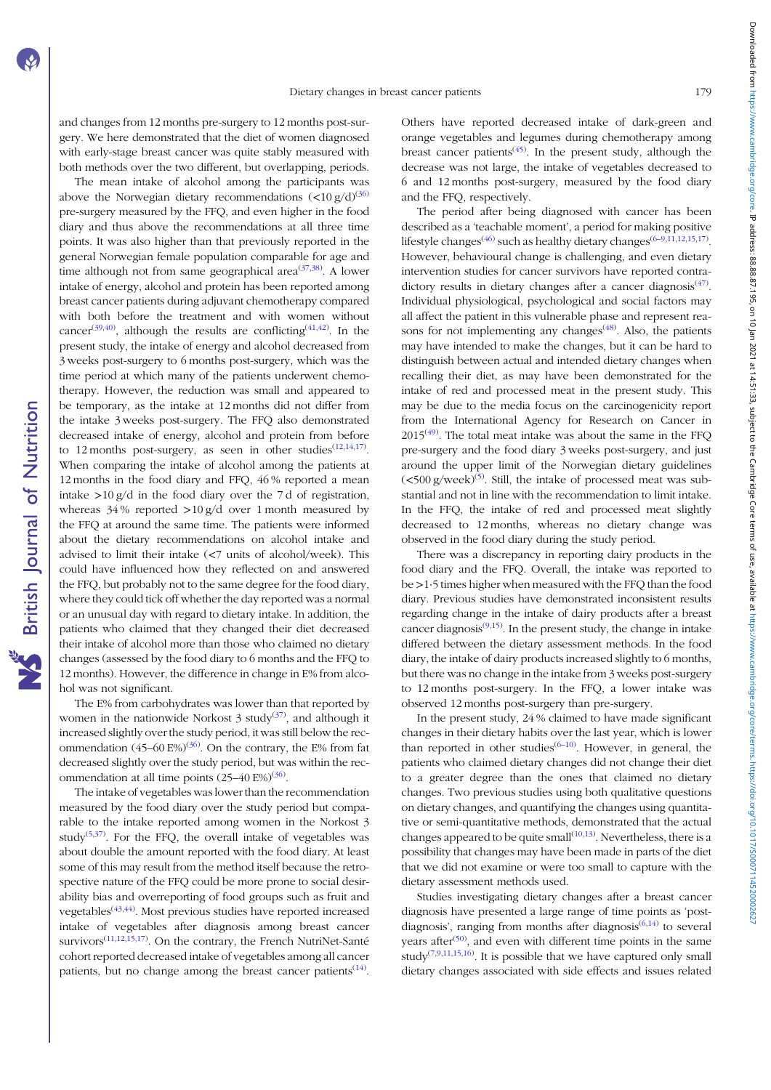and changes from 12 months pre-surgery to 12 months post-surgery. We here demonstrated that the diet of women diagnosed with early-stage breast cancer was quite stably measured with both methods over the two different, but overlapping, periods.

The mean intake of alcohol among the participants was above the Norwegian dietary recommendations  $\left($ <10 g/d)<sup>([36](#page-9-0))</sup> pre-surgery measured by the FFQ, and even higher in the food diary and thus above the recommendations at all three time points. It was also higher than that previously reported in the general Norwegian female population comparable for age and time although not from same geographical area<sup>([37,38\)](#page-9-0)</sup>. A lower intake of energy, alcohol and protein has been reported among breast cancer patients during adjuvant chemotherapy compared with both before the treatment and with women without cancer<sup>([39](#page-10-0),[40](#page-10-0))</sup>, although the results are conflicting<sup>([41](#page-10-0),[42\)](#page-10-0)</sup>. In the present study, the intake of energy and alcohol decreased from 3 weeks post-surgery to 6 months post-surgery, which was the time period at which many of the patients underwent chemotherapy. However, the reduction was small and appeared to be temporary, as the intake at 12 months did not differ from the intake 3 weeks post-surgery. The FFQ also demonstrated decreased intake of energy, alcohol and protein from before to [12](#page-9-0) months post-surgery, as seen in other studies<sup> $(12,14,17)$  $(12,14,17)$ </sup>. When comparing the intake of alcohol among the patients at 12 months in the food diary and FFQ, 46 % reported a mean intake >10 g/d in the food diary over the 7 d of registration, whereas  $34\%$  reported  $>10\frac{g}{d}$  over 1 month measured by the FFQ at around the same time. The patients were informed about the dietary recommendations on alcohol intake and advised to limit their intake (<7 units of alcohol/week). This could have influenced how they reflected on and answered the FFQ, but probably not to the same degree for the food diary, where they could tick off whether the day reported was a normal or an unusual day with regard to dietary intake. In addition, the patients who claimed that they changed their diet decreased their intake of alcohol more than those who claimed no dietary changes (assessed by the food diary to 6 months and the FFQ to 12 months). However, the difference in change in E% from alcohol was not significant.

The E% from carbohydrates was lower than that reported by women in the nationwide Norkost  $3$  study<sup>[\(37\)](#page-9-0)</sup>, and although it increased slightly over the study period, it was still below the recommendation  $(45-60 \text{ E}\%)^{(36)}$  $(45-60 \text{ E}\%)^{(36)}$  $(45-60 \text{ E}\%)^{(36)}$ . On the contrary, the E% from fat decreased slightly over the study period, but was within the recommendation at all time points  $(25-40 \text{ E}\%)^{(36)}$  $(25-40 \text{ E}\%)^{(36)}$  $(25-40 \text{ E}\%)^{(36)}$ .

The intake of vegetables was lower than the recommendation measured by the food diary over the study period but comparable to the intake reported among women in the Norkost 3 study<sup>[\(5,37](#page-9-0))</sup>. For the FFQ, the overall intake of vegetables was about double the amount reported with the food diary. At least some of this may result from the method itself because the retrospective nature of the FFQ could be more prone to social desirability bias and overreporting of food groups such as fruit and vegetables<sup>[\(43](#page-10-0),[44](#page-10-0))</sup>. Most previous studies have reported increased intake of vegetables after diagnosis among breast cancer survivors<sup>[\(11,12](#page-9-0),[15](#page-9-0),[17](#page-9-0))</sup>. On the contrary, the French NutriNet-Santé cohort reported decreased intake of vegetables among all cancer patients, but no change among the breast cancer patients $(14)$  $(14)$ . Others have reported decreased intake of dark-green and orange vegetables and legumes during chemotherapy among breast cancer patients<sup>([45](#page-10-0))</sup>. In the present study, although the decrease was not large, the intake of vegetables decreased to 6 and 12 months post-surgery, measured by the food diary and the FFQ, respectively.

The period after being diagnosed with cancer has been described as a 'teachable moment', a period for making positive lifestyle changes<sup>([46](#page-10-0))</sup> such as healthy dietary changes<sup>[\(6](#page-9-0)–[9,11,12](#page-9-0),[15](#page-9-0),[17](#page-9-0))</sup>. However, behavioural change is challenging, and even dietary intervention studies for cancer survivors have reported contra-dictory results in dietary changes after a cancer diagnosis<sup>([47](#page-10-0))</sup>. Individual physiological, psychological and social factors may all affect the patient in this vulnerable phase and represent reasons for not implementing any changes<sup> $(48)$  $(48)$ </sup>. Also, the patients may have intended to make the changes, but it can be hard to distinguish between actual and intended dietary changes when recalling their diet, as may have been demonstrated for the intake of red and processed meat in the present study. This may be due to the media focus on the carcinogenicity report from the International Agency for Research on Cancer in  $2015<sup>(49)</sup>$  $2015<sup>(49)</sup>$  $2015<sup>(49)</sup>$ . The total meat intake was about the same in the FFQ pre-surgery and the food diary 3 weeks post-surgery, and just around the upper limit of the Norwegian dietary guidelines  $(<$ 500 g/week)<sup>([5\)](#page-9-0)</sup>. Still, the intake of processed meat was substantial and not in line with the recommendation to limit intake. In the FFQ, the intake of red and processed meat slightly decreased to 12 months, whereas no dietary change was observed in the food diary during the study period.

There was a discrepancy in reporting dairy products in the food diary and the FFQ. Overall, the intake was reported to be >1·5 times higher when measured with the FFQ than the food diary. Previous studies have demonstrated inconsistent results regarding change in the intake of dairy products after a breast cancer diagnosis $(9,15)$  $(9,15)$  $(9,15)$  $(9,15)$ . In the present study, the change in intake differed between the dietary assessment methods. In the food diary, the intake of dairy products increased slightly to 6 months, but there was no change in the intake from 3 weeks post-surgery to 12 months post-surgery. In the FFQ, a lower intake was observed 12 months post-surgery than pre-surgery.

In the present study, 24 % claimed to have made significant changes in their dietary habits over the last year, which is lower than reported in other studies<sup>[\(6](#page-9-0)-[10\)](#page-9-0)</sup>. However, in general, the patients who claimed dietary changes did not change their diet to a greater degree than the ones that claimed no dietary changes. Two previous studies using both qualitative questions on dietary changes, and quantifying the changes using quantitative or semi-quantitative methods, demonstrated that the actual changes appeared to be quite small $(10,13)$  $(10,13)$ . Nevertheless, there is a possibility that changes may have been made in parts of the diet that we did not examine or were too small to capture with the dietary assessment methods used.

Studies investigating dietary changes after a breast cancer diagnosis have presented a large range of time points as 'postdiagnosis', ranging from months after diagnosis $(6,14)$  $(6,14)$  to several years after<sup>[\(50](#page-10-0))</sup>, and even with different time points in the same study<sup> $(7,9,11,15,16)$  $(7,9,11,15,16)$  $(7,9,11,15,16)$  $(7,9,11,15,16)$  $(7,9,11,15,16)$  $(7,9,11,15,16)$  $(7,9,11,15,16)$ </sup>. It is possible that we have captured only small dietary changes associated with side effects and issues related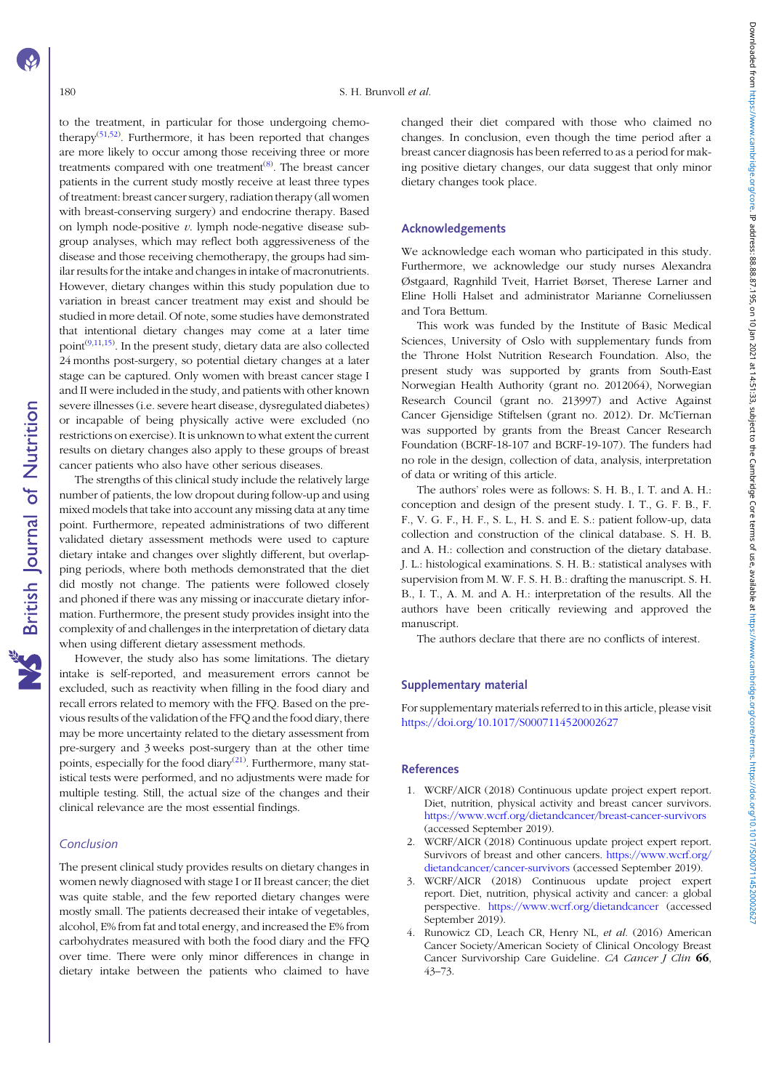<span id="page-8-0"></span>to the treatment, in particular for those undergoing chemo-therapy<sup>([51](#page-10-0),[52\)](#page-10-0)</sup>. Furthermore, it has been reported that changes are more likely to occur among those receiving three or more treatments compared with one treatment<sup>([8\)](#page-9-0)</sup>. The breast cancer patients in the current study mostly receive at least three types of treatment: breast cancer surgery, radiation therapy (all women with breast-conserving surgery) and endocrine therapy. Based on lymph node-positive  $v$ . lymph node-negative disease subgroup analyses, which may reflect both aggressiveness of the disease and those receiving chemotherapy, the groups had similar results for the intake and changes in intake of macronutrients. However, dietary changes within this study population due to variation in breast cancer treatment may exist and should be studied in more detail. Of note, some studies have demonstrated that intentional dietary changes may come at a later time point<sup> $(9,11,15)$  $(9,11,15)$ </sup>. In the present study, dietary data are also collected 24 months post-surgery, so potential dietary changes at a later stage can be captured. Only women with breast cancer stage I and II were included in the study, and patients with other known severe illnesses (i.e. severe heart disease, dysregulated diabetes) or incapable of being physically active were excluded (no restrictions on exercise). It is unknown to what extent the current results on dietary changes also apply to these groups of breast cancer patients who also have other serious diseases.

The strengths of this clinical study include the relatively large number of patients, the low dropout during follow-up and using mixed models that take into account any missing data at any time point. Furthermore, repeated administrations of two different validated dietary assessment methods were used to capture dietary intake and changes over slightly different, but overlapping periods, where both methods demonstrated that the diet did mostly not change. The patients were followed closely and phoned if there was any missing or inaccurate dietary information. Furthermore, the present study provides insight into the complexity of and challenges in the interpretation of dietary data when using different dietary assessment methods.

However, the study also has some limitations. The dietary intake is self-reported, and measurement errors cannot be excluded, such as reactivity when filling in the food diary and recall errors related to memory with the FFQ. Based on the previous results of the validation of the FFQ and the food diary, there may be more uncertainty related to the dietary assessment from pre-surgery and 3 weeks post-surgery than at the other time points, especially for the food diary<sup>[\(21\)](#page-9-0)</sup>. Furthermore, many statistical tests were performed, and no adjustments were made for multiple testing. Still, the actual size of the changes and their clinical relevance are the most essential findings.

# Conclusion

The present clinical study provides results on dietary changes in women newly diagnosed with stage I or II breast cancer; the diet was quite stable, and the few reported dietary changes were mostly small. The patients decreased their intake of vegetables, alcohol, E% from fat and total energy, and increased the E% from carbohydrates measured with both the food diary and the FFQ over time. There were only minor differences in change in dietary intake between the patients who claimed to have

changed their diet compared with those who claimed no changes. In conclusion, even though the time period after a breast cancer diagnosis has been referred to as a period for making positive dietary changes, our data suggest that only minor dietary changes took place.

#### Acknowledgements

We acknowledge each woman who participated in this study. Furthermore, we acknowledge our study nurses Alexandra Østgaard, Ragnhild Tveit, Harriet Børset, Therese Larner and Eline Holli Halset and administrator Marianne Corneliussen and Tora Bettum.

This work was funded by the Institute of Basic Medical Sciences, University of Oslo with supplementary funds from the Throne Holst Nutrition Research Foundation. Also, the present study was supported by grants from South-East Norwegian Health Authority (grant no. 2012064), Norwegian Research Council (grant no. 213997) and Active Against Cancer Gjensidige Stiftelsen (grant no. 2012). Dr. McTiernan was supported by grants from the Breast Cancer Research Foundation (BCRF-18-107 and BCRF-19-107). The funders had no role in the design, collection of data, analysis, interpretation of data or writing of this article.

The authors' roles were as follows: S. H. B., I. T. and A. H.: conception and design of the present study. I. T., G. F. B., F. F., V. G. F., H. F., S. L., H. S. and E. S.: patient follow-up, data collection and construction of the clinical database. S. H. B. and A. H.: collection and construction of the dietary database. J. L.: histological examinations. S. H. B.: statistical analyses with supervision from M. W. F. S. H. B.: drafting the manuscript. S. H. B., I. T., A. M. and A. H.: interpretation of the results. All the authors have been critically reviewing and approved the manuscript.

The authors declare that there are no conflicts of interest.

#### Supplementary material

For supplementary materials referred to in this article, please visit <https://doi.org/10.1017/S0007114520002627>

## References

- 1. WCRF/AICR (2018) Continuous update project expert report. Diet, nutrition, physical activity and breast cancer survivors. <https://www.wcrf.org/dietandcancer/breast-cancer-survivors> (accessed September 2019).
- 2. WCRF/AICR (2018) Continuous update project expert report. Survivors of breast and other cancers. [https://www.wcrf.org/](https://www.wcrf.org/dietandcancer/cancer-survivors) [dietandcancer/cancer-survivors](https://www.wcrf.org/dietandcancer/cancer-survivors) (accessed September 2019).
- 3. WCRF/AICR (2018) Continuous update project expert report. Diet, nutrition, physical activity and cancer: a global perspective. <https://www.wcrf.org/dietandcancer> (accessed September 2019).
- 4. Runowicz CD, Leach CR, Henry NL, et al. (2016) American Cancer Society/American Society of Clinical Oncology Breast Cancer Survivorship Care Guideline. CA Cancer J Clin 66, 43–73.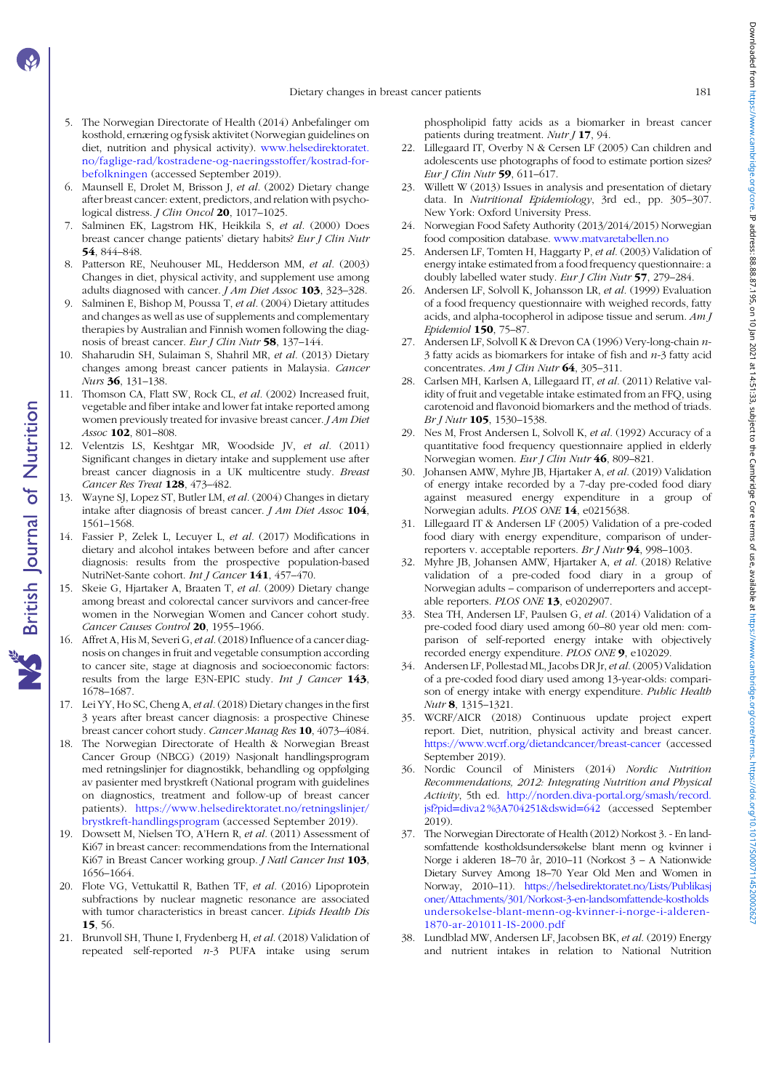- <span id="page-9-0"></span>5. The Norwegian Directorate of Health (2014) Anbefalinger om kosthold, ernæring og fysisk aktivitet (Norwegian guidelines on diet, nutrition and physical activity). [www.helsedirektoratet.](https://www.helsedirektoratet.no/faglige-rad/kostradene-og-naeringsstoffer/kostrad-for-befolkningen) [no/faglige-rad/kostradene-og-naeringsstoffer/kostrad-for](https://www.helsedirektoratet.no/faglige-rad/kostradene-og-naeringsstoffer/kostrad-for-befolkningen)[befolkningen](https://www.helsedirektoratet.no/faglige-rad/kostradene-og-naeringsstoffer/kostrad-for-befolkningen) (accessed September 2019).
- 6. Maunsell E, Drolet M, Brisson J, et al. (2002) Dietary change after breast cancer: extent, predictors, and relation with psychological distress. *J Clin Oncol* 20, 1017-1025.
- 7. Salminen EK, Lagstrom HK, Heikkila S, et al. (2000) Does breast cancer change patients' dietary habits? Eur J Clin Nutr 54, 844–848.
- 8. Patterson RE, Neuhouser ML, Hedderson MM, et al. (2003) Changes in diet, physical activity, and supplement use among adults diagnosed with cancer. J Am Diet Assoc 103, 323-328.
- 9. Salminen E, Bishop M, Poussa T, et al. (2004) Dietary attitudes and changes as well as use of supplements and complementary therapies by Australian and Finnish women following the diagnosis of breast cancer. Eur J Clin Nutr 58, 137–144.
- 10. Shaharudin SH, Sulaiman S, Shahril MR, et al. (2013) Dietary changes among breast cancer patients in Malaysia. Cancer Nurs 36, 131–138.
- 11. Thomson CA, Flatt SW, Rock CL, et al. (2002) Increased fruit, vegetable and fiber intake and lower fat intake reported among women previously treated for invasive breast cancer. *J Am Diet* Assoc 102, 801–808.
- 12. Velentzis LS, Keshtgar MR, Woodside JV, et al. (2011) Significant changes in dietary intake and supplement use after breast cancer diagnosis in a UK multicentre study. Breast Cancer Res Treat 128, 473-482.
- 13. Wayne SJ, Lopez ST, Butler LM, et al. (2004) Changes in dietary intake after diagnosis of breast cancer.  $J Am$  Diet Assoc  $104$ , 1561–1568.
- 14. Fassier P, Zelek L, Lecuyer L, et al. (2017) Modifications in dietary and alcohol intakes between before and after cancer diagnosis: results from the prospective population-based NutriNet-Sante cohort. Int J Cancer 141, 457-470.
- 15. Skeie G, Hjartaker A, Braaten T, et al. (2009) Dietary change among breast and colorectal cancer survivors and cancer-free women in the Norwegian Women and Cancer cohort study. Cancer Causes Control 20, 1955-1966.
- 16. Affret A, His M, Severi G, et al.(2018) Influence of a cancer diagnosis on changes in fruit and vegetable consumption according to cancer site, stage at diagnosis and socioeconomic factors: results from the large E3N-EPIC study. Int J Cancer 143, 1678–1687.
- 17. Lei YY, Ho SC, Cheng A, et al. (2018) Dietary changes in the first 3 years after breast cancer diagnosis: a prospective Chinese breast cancer cohort study. Cancer Manag Res 10, 4073–4084.
- 18. The Norwegian Directorate of Health & Norwegian Breast Cancer Group (NBCG) (2019) Nasjonalt handlingsprogram med retningslinjer for diagnostikk, behandling og oppfølging av pasienter med brystkreft (National program with guidelines on diagnostics, treatment and follow-up of breast cancer patients). [https://www.helsedirektoratet.no/retningslinjer/](https://www.helsedirektoratet.no/retningslinjer/brystkreft-handlingsprogram) [brystkreft-handlingsprogram](https://www.helsedirektoratet.no/retningslinjer/brystkreft-handlingsprogram) (accessed September 2019).
- 19. Dowsett M, Nielsen TO, A'Hern R, et al. (2011) Assessment of Ki67 in breast cancer: recommendations from the International Ki67 in Breast Cancer working group. *J Natl Cancer Inst* 103, 1656–1664.
- 20. Flote VG, Vettukattil R, Bathen TF, et al. (2016) Lipoprotein subfractions by nuclear magnetic resonance are associated with tumor characteristics in breast cancer. Lipids Health Dis 15, 56.
- 21. Brunvoll SH, Thune I, Frydenberg H, et al. (2018) Validation of repeated self-reported  $n-3$  PUFA intake using serum

phospholipid fatty acids as a biomarker in breast cancer patients during treatment. Nutr J 17, 94.

- 22. Lillegaard IT, Overby N & Cersen LF (2005) Can children and adolescents use photographs of food to estimate portion sizes? Eur J Clin Nutr 59, 611–617.
- 23. Willett W (2013) Issues in analysis and presentation of dietary data. In Nutritional Epidemiology, 3rd ed., pp. 305–307. New York: Oxford University Press.
- 24. Norwegian Food Safety Authority (2013/2014/2015) Norwegian food composition database. [www.matvaretabellen.no](https://www.matvaretabellen.no)
- 25. Andersen LF, Tomten H, Haggarty P, et al. (2003) Validation of energy intake estimated from a food frequency questionnaire: a doubly labelled water study. Eur J Clin Nutr 57, 279-284.
- 26. Andersen LF, Solvoll K, Johansson LR, et al. (1999) Evaluation of a food frequency questionnaire with weighed records, fatty acids, and alpha-tocopherol in adipose tissue and serum. Am J Epidemiol 150, 75–87.
- 27. Andersen LF, Solvoll K & Drevon CA (1996) Very-long-chain n- $3$  fatty acids as biomarkers for intake of fish and  $n-3$  fatty acid concentrates. Am J Clin Nutr 64, 305-311.
- 28. Carlsen MH, Karlsen A, Lillegaard IT, et al. (2011) Relative validity of fruit and vegetable intake estimated from an FFQ, using carotenoid and flavonoid biomarkers and the method of triads. Br J Nutr 105, 1530-1538.
- 29. Nes M, Frost Andersen L, Solvoll K, et al. (1992) Accuracy of a quantitative food frequency questionnaire applied in elderly Norwegian women. Eur J Clin Nutr 46, 809–821.
- 30. Johansen AMW, Myhre JB, Hjartaker A, et al. (2019) Validation of energy intake recorded by a 7-day pre-coded food diary against measured energy expenditure in a group of Norwegian adults. PLOS ONE 14, e0215638.
- 31. Lillegaard IT & Andersen LF (2005) Validation of a pre-coded food diary with energy expenditure, comparison of underreporters v. acceptable reporters. Br J Nutr 94, 998–1003.
- 32. Myhre JB, Johansen AMW, Hjartaker A, et al. (2018) Relative validation of a pre-coded food diary in a group of Norwegian adults – comparison of underreporters and acceptable reporters. PLOS ONE 13, e0202907.
- 33. Stea TH, Andersen LF, Paulsen G, et al. (2014) Validation of a pre-coded food diary used among 60–80 year old men: comparison of self-reported energy intake with objectively recorded energy expenditure. PLOS ONE 9, e102029.
- 34. Andersen LF, Pollestad ML, Jacobs DR Jr, et al. (2005) Validation of a pre-coded food diary used among 13-year-olds: comparison of energy intake with energy expenditure. Public Health Nutr 8, 1315–1321.
- 35. WCRF/AICR (2018) Continuous update project expert report. Diet, nutrition, physical activity and breast cancer. <https://www.wcrf.org/dietandcancer/breast-cancer> (accessed September 2019).
- 36. Nordic Council of Ministers (2014) Nordic Nutrition Recommendations, 2012: Integrating Nutrition and Physical Activity, 5th ed. [http://norden.diva-portal.org/smash/record.](http://norden.diva-portal.org/smash/record.jsf?pid=diva2%3A704251&dswid=642) [jsf?pid](http://norden.diva-portal.org/smash/record.jsf?pid=diva2%3A704251&dswid=642)=[diva2 %3A704251&dswid](http://norden.diva-portal.org/smash/record.jsf?pid=diva2%3A704251&dswid=642)=[642](http://norden.diva-portal.org/smash/record.jsf?pid=diva2%3A704251&dswid=642) (accessed September 2019).
- 37. The Norwegian Directorate of Health (2012) Norkost 3. En landsomfattende kostholdsundersøkelse blant menn og kvinner i Norge i alderen 18–70 år, 2010–11 (Norkost 3 – A Nationwide Dietary Survey Among 18–70 Year Old Men and Women in Norway, 2010–11). [https://helsedirektoratet.no/Lists/Publikasj](https://helsedirektoratet.no/Lists/Publikasjoner/Attachments/301/Norkost-3-en-landsomfattende-kostholdsundersokelse-blant-menn-og-kvinner-i-norge-i-alderen-1870-ar-201011-IS-2000.pdf) [oner/Attachments/301/Norkost-3-en-landsomfattende-kostholds](https://helsedirektoratet.no/Lists/Publikasjoner/Attachments/301/Norkost-3-en-landsomfattende-kostholdsundersokelse-blant-menn-og-kvinner-i-norge-i-alderen-1870-ar-201011-IS-2000.pdf) [undersokelse-blant-menn-og-kvinner-i-norge-i-alderen-](https://helsedirektoratet.no/Lists/Publikasjoner/Attachments/301/Norkost-3-en-landsomfattende-kostholdsundersokelse-blant-menn-og-kvinner-i-norge-i-alderen-1870-ar-201011-IS-2000.pdf)[1870-ar-201011-IS-2000.pdf](https://helsedirektoratet.no/Lists/Publikasjoner/Attachments/301/Norkost-3-en-landsomfattende-kostholdsundersokelse-blant-menn-og-kvinner-i-norge-i-alderen-1870-ar-201011-IS-2000.pdf)
- 38. Lundblad MW, Andersen LF, Jacobsen BK, et al. (2019) Energy and nutrient intakes in relation to National Nutrition